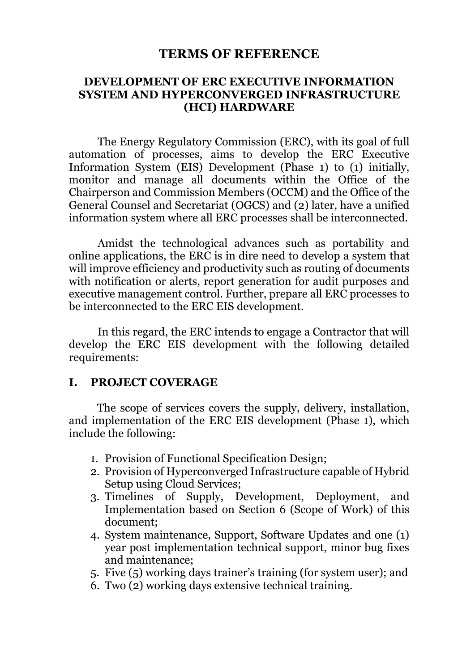#### **TERMS OF REFERENCE**

#### **DEVELOPMENT OF ERC EXECUTIVE INFORMATION SYSTEM AND HYPERCONVERGED INFRASTRUCTURE (HCI) HARDWARE**

The Energy Regulatory Commission (ERC), with its goal of full automation of processes, aims to develop the ERC Executive Information System (EIS) Development (Phase 1) to (1) initially, monitor and manage all documents within the Office of the Chairperson and Commission Members (OCCM) and the Office of the General Counsel and Secretariat (OGCS) and (2) later, have a unified information system where all ERC processes shall be interconnected.

Amidst the technological advances such as portability and online applications, the ERC is in dire need to develop a system that will improve efficiency and productivity such as routing of documents with notification or alerts, report generation for audit purposes and executive management control. Further, prepare all ERC processes to be interconnected to the ERC EIS development.

In this regard, the ERC intends to engage a Contractor that will develop the ERC EIS development with the following detailed requirements:

#### **I. PROJECT COVERAGE**

The scope of services covers the supply, delivery, installation, and implementation of the ERC EIS development (Phase 1), which include the following:

- 1. Provision of Functional Specification Design;
- 2. Provision of Hyperconverged Infrastructure capable of Hybrid Setup using Cloud Services;
- 3. Timelines of Supply, Development, Deployment, and Implementation based on Section 6 (Scope of Work) of this document;
- 4. System maintenance, Support, Software Updates and one (1) year post implementation technical support, minor bug fixes and maintenance;
- 5. Five (5) working days trainer's training (for system user); and
- 6. Two (2) working days extensive technical training.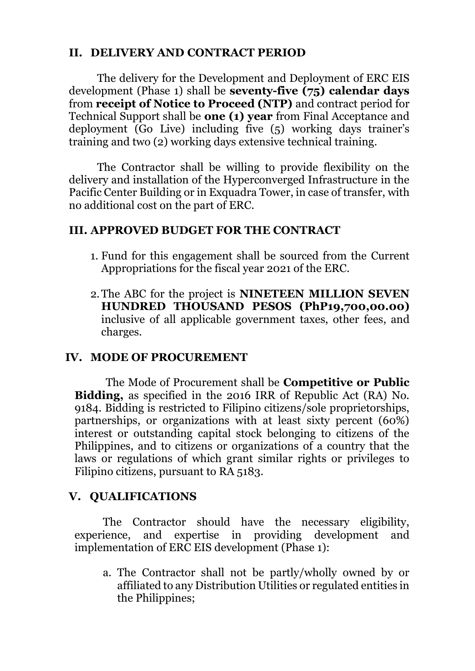# **II. DELIVERY AND CONTRACT PERIOD**

The delivery for the Development and Deployment of ERC EIS development (Phase 1) shall be **seventy-five (75) calendar days** from **receipt of Notice to Proceed (NTP)** and contract period for Technical Support shall be **one (1) year** from Final Acceptance and deployment (Go Live) including five (5) working days trainer's training and two (2) working days extensive technical training.

The Contractor shall be willing to provide flexibility on the delivery and installation of the Hyperconverged Infrastructure in the Pacific Center Building or in Exquadra Tower, in case of transfer, with no additional cost on the part of ERC.

#### **III. APPROVED BUDGET FOR THE CONTRACT**

- 1. Fund for this engagement shall be sourced from the Current Appropriations for the fiscal year 2021 of the ERC.
- 2.The ABC for the project is **NINETEEN MILLION SEVEN HUNDRED THOUSAND PESOS (PhP19,700,00.00)** inclusive of all applicable government taxes, other fees, and charges.

#### **IV. MODE OF PROCUREMENT**

The Mode of Procurement shall be **Competitive or Public Bidding,** as specified in the 2016 IRR of Republic Act (RA) No. 9184. Bidding is restricted to Filipino citizens/sole proprietorships, partnerships, or organizations with at least sixty percent (60%) interest or outstanding capital stock belonging to citizens of the Philippines, and to citizens or organizations of a country that the laws or regulations of which grant similar rights or privileges to Filipino citizens, pursuant to RA 5183.

#### **V. QUALIFICATIONS**

The Contractor should have the necessary eligibility, experience, and expertise in providing development and implementation of ERC EIS development (Phase 1):

a. The Contractor shall not be partly/wholly owned by or affiliated to any Distribution Utilities or regulated entities in the Philippines;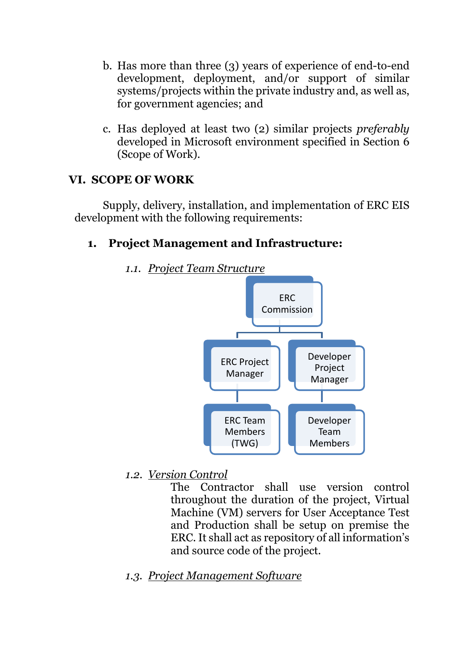- b. Has more than three (3) years of experience of end-to-end development, deployment, and/or support of similar systems/projects within the private industry and, as well as, for government agencies; and
- c. Has deployed at least two (2) similar projects *preferably* developed in Microsoft environment specified in Section 6 (Scope of Work).

#### **VI. SCOPE OF WORK**

Supply, delivery, installation, and implementation of ERC EIS development with the following requirements:

#### **1. Project Management and Infrastructure:**



*1.1. Project Team Structure*

*1.2. Version Control*

The Contractor shall use version control throughout the duration of the project, Virtual Machine (VM) servers for User Acceptance Test and Production shall be setup on premise the ERC. It shall act as repository of all information's and source code of the project.

*1.3. Project Management Software*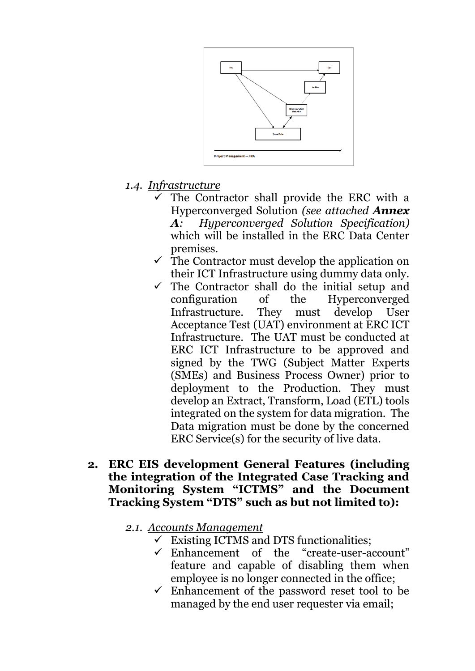

- *1.4. Infrastructure*
	- $\checkmark$  The Contractor shall provide the ERC with a Hyperconverged Solution *(see attached Annex A: Hyperconverged Solution Specification)* which will be installed in the ERC Data Center premises.
	- $\checkmark$  The Contractor must develop the application on their ICT Infrastructure using dummy data only.
	- $\checkmark$  The Contractor shall do the initial setup and configuration of the Hyperconverged Infrastructure. They must develop User Acceptance Test (UAT) environment at ERC ICT Infrastructure. The UAT must be conducted at ERC ICT Infrastructure to be approved and signed by the TWG (Subject Matter Experts (SMEs) and Business Process Owner) prior to deployment to the Production. They must develop an Extract, Transform, Load (ETL) tools integrated on the system for data migration. The Data migration must be done by the concerned ERC Service(s) for the security of live data.
- **2. ERC EIS development General Features (including the integration of the Integrated Case Tracking and Monitoring System "ICTMS" and the Document Tracking System "DTS" such as but not limited to):**
	- *2.1. Accounts Management*
		- $\checkmark$  Existing ICTMS and DTS functionalities;
		- Enhancement of the "create-user-account" feature and capable of disabling them when employee is no longer connected in the office;
		- $\checkmark$  Enhancement of the password reset tool to be managed by the end user requester via email;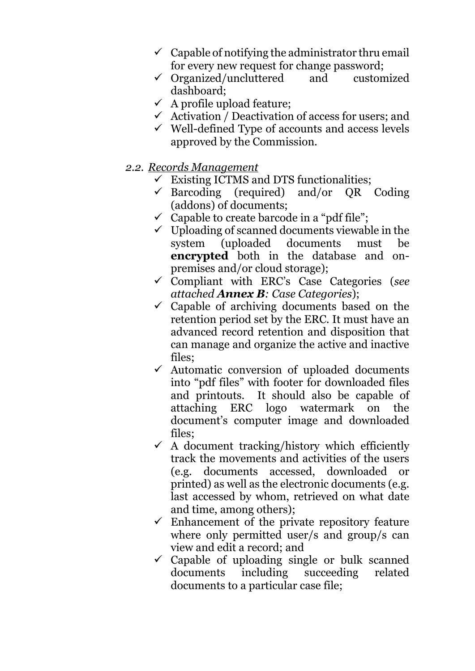- $\checkmark$  Capable of notifying the administrator thru email for every new request for change password;
- $\checkmark$  Organized/uncluttered and customized dashboard;
- $\checkmark$  A profile upload feature;
- $\checkmark$  Activation / Deactivation of access for users; and
- $\checkmark$  Well-defined Type of accounts and access levels approved by the Commission.
- *2.2. Records Management*
	- $\checkmark$  Existing ICTMS and DTS functionalities;
	- $\checkmark$  Barcoding (required) and/or QR Coding (addons) of documents;
	- $\checkmark$  Capable to create barcode in a "pdf file";
	- $\checkmark$  Uploading of scanned documents viewable in the system (uploaded documents must be **encrypted** both in the database and onpremises and/or cloud storage);
	- Compliant with ERC's Case Categories (*see attached Annex B: Case Categories*);
	- $\checkmark$  Capable of archiving documents based on the retention period set by the ERC. It must have an advanced record retention and disposition that can manage and organize the active and inactive files;
	- $\checkmark$  Automatic conversion of uploaded documents into "pdf files" with footer for downloaded files and printouts. It should also be capable of attaching ERC logo watermark on the document's computer image and downloaded files;
	- $\checkmark$  A document tracking/history which efficiently track the movements and activities of the users (e.g. documents accessed, downloaded or printed) as well as the electronic documents (e.g. last accessed by whom, retrieved on what date and time, among others);
	- $\checkmark$  Enhancement of the private repository feature where only permitted user/s and group/s can view and edit a record; and
	- $\checkmark$  Capable of uploading single or bulk scanned documents including succeeding related documents to a particular case file;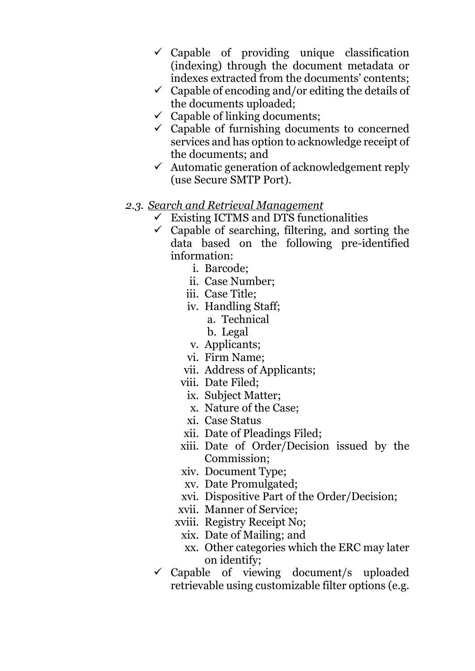- $\checkmark$  Capable of providing unique classification (indexing) through the document metadata or indexes extracted from the documents' contents;
- $\checkmark$  Capable of encoding and/or editing the details of the documents uploaded;
- $\checkmark$  Capable of linking documents;
- $\checkmark$  Capable of furnishing documents to concerned services and has option to acknowledge receipt of the documents; and
- $\checkmark$  Automatic generation of acknowledgement reply (use Secure SMTP Port).

#### *2.3. Search and Retrieval Management*

- $\checkmark$  Existing ICTMS and DTS functionalities
- $\checkmark$  Capable of searching, filtering, and sorting the data based on the following pre-identified information:
	- i. Barcode;
	- ii. Case Number;
	- iii. Case Title;
	- iv. Handling Staff;
		- a. Technical
		- b. Legal
	- v. Applicants;
	- vi. Firm Name;
	- vii. Address of Applicants;
	- viii. Date Filed;
		- ix. Subject Matter;
		- x. Nature of the Case;
		- xi. Case Status
	- xii. Date of Pleadings Filed;
	- xiii. Date of Order/Decision issued by the Commission;
	- xiv. Document Type;
	- xv. Date Promulgated;
	- xvi. Dispositive Part of the Order/Decision;
	- xvii. Manner of Service;
	- xviii. Registry Receipt No;
		- xix. Date of Mailing; and
		- xx. Other categories which the ERC may later on identify;
- $\checkmark$  Capable of viewing document/s uploaded retrievable using customizable filter options (e.g.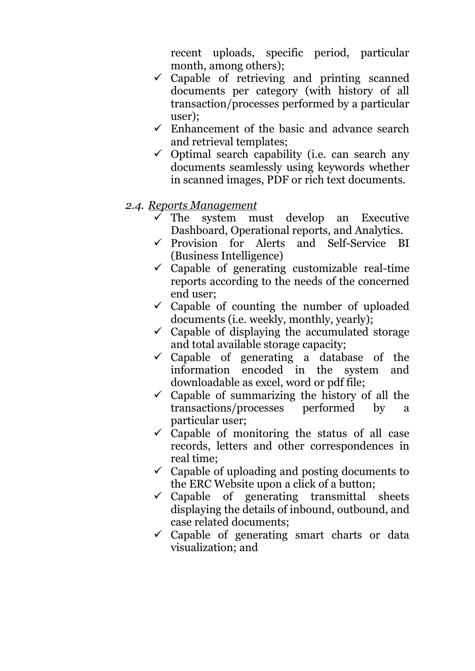recent uploads, specific period, particular month, among others);

- $\checkmark$  Capable of retrieving and printing scanned documents per category (with history of all transaction/processes performed by a particular user);
- $\checkmark$  Enhancement of the basic and advance search and retrieval templates;
- $\checkmark$  Optimal search capability (i.e. can search any documents seamlessly using keywords whether in scanned images, PDF or rich text documents.

#### *2.4. Reports Management*

- The system must develop an Executive Dashboard, Operational reports, and Analytics.
- $\checkmark$  Provision for Alerts and Self-Service BI (Business Intelligence)
- $\checkmark$  Capable of generating customizable real-time reports according to the needs of the concerned end user;
- $\checkmark$  Capable of counting the number of uploaded documents (i.e. weekly, monthly, yearly);
- $\checkmark$  Capable of displaying the accumulated storage and total available storage capacity;
- $\checkmark$  Capable of generating a database of the information encoded in the system and downloadable as excel, word or pdf file;
- $\checkmark$  Capable of summarizing the history of all the transactions/processes performed by a particular user;
- $\checkmark$  Capable of monitoring the status of all case records, letters and other correspondences in real time;
- $\checkmark$  Capable of uploading and posting documents to the ERC Website upon a click of a button;
- $\checkmark$  Capable of generating transmittal sheets displaying the details of inbound, outbound, and case related documents;
- $\checkmark$  Capable of generating smart charts or data visualization; and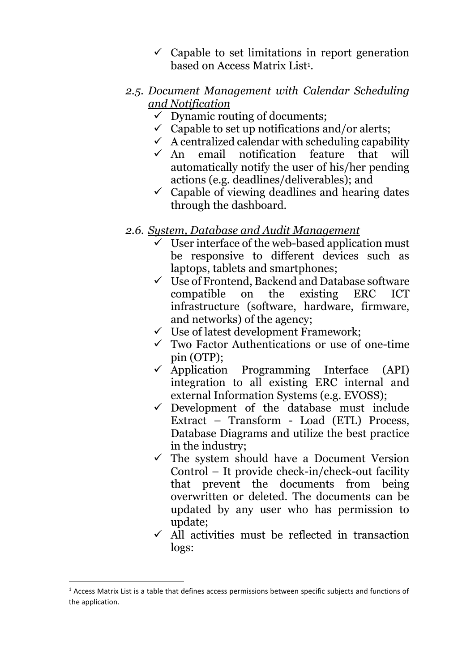- $\checkmark$  Capable to set limitations in report generation based on Access Matrix List<sup>1</sup>.
- *2.5. Document Management with Calendar Scheduling and Notification*
	- $\checkmark$  Dynamic routing of documents:
	- $\checkmark$  Capable to set up notifications and/or alerts:
	- $\checkmark$  A centralized calendar with scheduling capability<br> $\checkmark$  An email notification feature that will
	- email notification feature that will automatically notify the user of his/her pending actions (e.g. deadlines/deliverables); and
	- $\checkmark$  Capable of viewing deadlines and hearing dates through the dashboard.
- *2.6. System, Database and Audit Management*
	- $\checkmark$  User interface of the web-based application must be responsive to different devices such as laptops, tablets and smartphones;
	- $\checkmark$  Use of Frontend, Backend and Database software compatible on the existing ERC ICT infrastructure (software, hardware, firmware, and networks) of the agency;
	- $\checkmark$  Use of latest development Framework;
	- $\checkmark$  Two Factor Authentications or use of one-time pin (OTP);
	- $\checkmark$  Application Programming Interface (API) integration to all existing ERC internal and external Information Systems (e.g. EVOSS);
	- $\checkmark$  Development of the database must include Extract – Transform - Load (ETL) Process, Database Diagrams and utilize the best practice in the industry;
	- $\checkmark$  The system should have a Document Version Control – It provide check-in/check-out facility that prevent the documents from being overwritten or deleted. The documents can be updated by any user who has permission to update;
	- $\checkmark$  All activities must be reflected in transaction logs:

 $\overline{a}$ 

 $<sup>1</sup>$  Access Matrix List is a table that defines access permissions between specific subjects and functions of</sup> the application.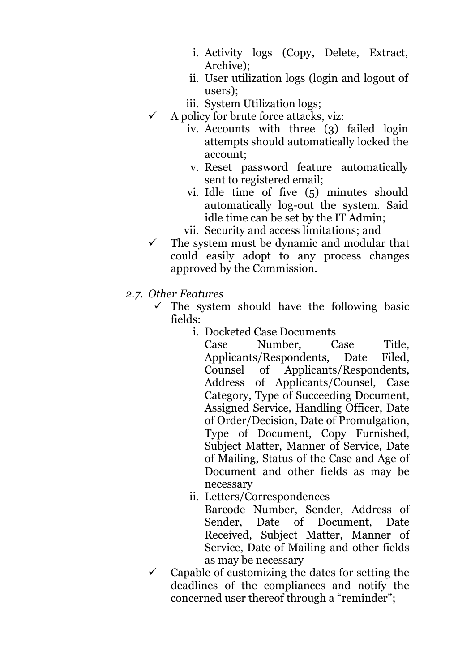- i. Activity logs (Copy, Delete, Extract, Archive);
- ii. User utilization logs (login and logout of users);
- iii. System Utilization logs;
- $\checkmark$  A policy for brute force attacks, viz:
	- iv. Accounts with three (3) failed login attempts should automatically locked the account;
	- v. Reset password feature automatically sent to registered email;
	- vi. Idle time of five (5) minutes should automatically log-out the system. Said idle time can be set by the IT Admin;
	- vii. Security and access limitations; and
- $\checkmark$  The system must be dynamic and modular that could easily adopt to any process changes approved by the Commission.
- *2.7. Other Features*
	- The system should have the following basic fields:
		- i. Docketed Case Documents

Case Number, Case Title, Applicants/Respondents, Date Filed, Counsel of Applicants/Respondents, Address of Applicants/Counsel, Case Category, Type of Succeeding Document, Assigned Service, Handling Officer, Date of Order/Decision, Date of Promulgation, Type of Document, Copy Furnished, Subject Matter, Manner of Service, Date of Mailing, Status of the Case and Age of Document and other fields as may be necessary

ii. Letters/Correspondences

Barcode Number, Sender, Address of Sender, Date of Document, Date Received, Subject Matter, Manner of Service, Date of Mailing and other fields as may be necessary

 $\checkmark$  Capable of customizing the dates for setting the deadlines of the compliances and notify the concerned user thereof through a "reminder";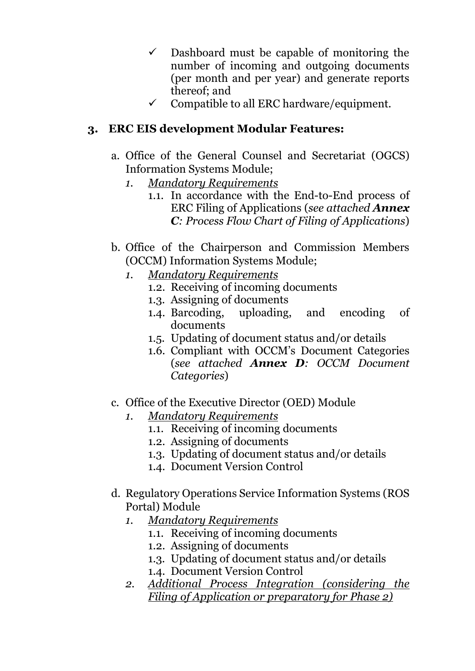- $\checkmark$  Dashboard must be capable of monitoring the number of incoming and outgoing documents (per month and per year) and generate reports thereof; and
- $\checkmark$  Compatible to all ERC hardware/equipment.

# **3. ERC EIS development Modular Features:**

- a. Office of the General Counsel and Secretariat (OGCS) Information Systems Module;
	- *1. Mandatory Requirements*
		- 1.1. In accordance with the End-to-End process of ERC Filing of Applications (*see attached Annex C: Process Flow Chart of Filing of Applications*)
- b. Office of the Chairperson and Commission Members (OCCM) Information Systems Module;
	- *1. Mandatory Requirements*
		- 1.2. Receiving of incoming documents
		- 1.3. Assigning of documents
		- 1.4. Barcoding, uploading, and encoding of documents
		- 1.5. Updating of document status and/or details
		- 1.6. Compliant with OCCM's Document Categories (*see attached Annex D: OCCM Document Categories*)
- c. Office of the Executive Director (OED) Module
	- *1. Mandatory Requirements*
		- 1.1. Receiving of incoming documents
		- 1.2. Assigning of documents
		- 1.3. Updating of document status and/or details
		- 1.4. Document Version Control
- d. Regulatory Operations Service Information Systems (ROS Portal) Module
	- *1. Mandatory Requirements*
		- 1.1. Receiving of incoming documents
		- 1.2. Assigning of documents
		- 1.3. Updating of document status and/or details
		- 1.4. Document Version Control
	- *2. Additional Process Integration (considering the Filing of Application or preparatory for Phase 2)*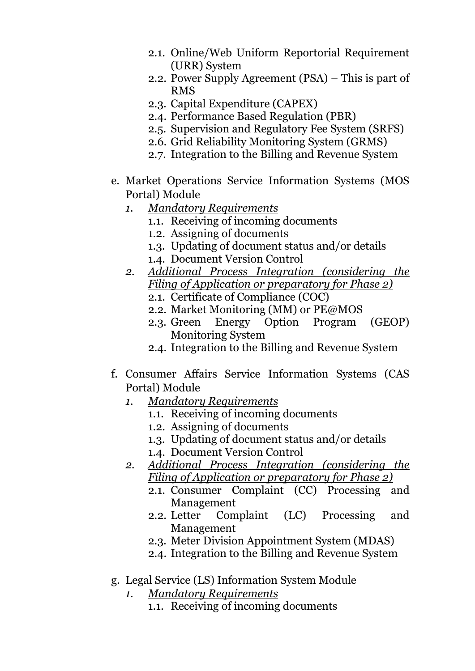- 2.1. Online/Web Uniform Reportorial Requirement (URR) System
- 2.2. Power Supply Agreement (PSA) This is part of RMS
- 2.3. Capital Expenditure (CAPEX)
- 2.4. Performance Based Regulation (PBR)
- 2.5. Supervision and Regulatory Fee System (SRFS)
- 2.6. Grid Reliability Monitoring System (GRMS)
- 2.7. Integration to the Billing and Revenue System
- e. Market Operations Service Information Systems (MOS Portal) Module
	- *1. Mandatory Requirements*
		- 1.1. Receiving of incoming documents
		- 1.2. Assigning of documents
		- 1.3. Updating of document status and/or details
		- 1.4. Document Version Control
	- *2. Additional Process Integration (considering the Filing of Application or preparatory for Phase 2)*
		- 2.1. Certificate of Compliance (COC)
		- 2.2. Market Monitoring (MM) or PE@MOS
		- 2.3. Green Energy Option Program (GEOP) Monitoring System
		- 2.4. Integration to the Billing and Revenue System
- f. Consumer Affairs Service Information Systems (CAS Portal) Module
	- *1. Mandatory Requirements*
		- 1.1. Receiving of incoming documents
		- 1.2. Assigning of documents
		- 1.3. Updating of document status and/or details
		- 1.4. Document Version Control
	- *2. Additional Process Integration (considering the Filing of Application or preparatory for Phase 2)*
		- 2.1. Consumer Complaint (CC) Processing and Management
		- 2.2. Letter Complaint (LC) Processing and Management
		- 2.3. Meter Division Appointment System (MDAS)
		- 2.4. Integration to the Billing and Revenue System
- g. Legal Service (LS) Information System Module
	- *1. Mandatory Requirements*
		- 1.1. Receiving of incoming documents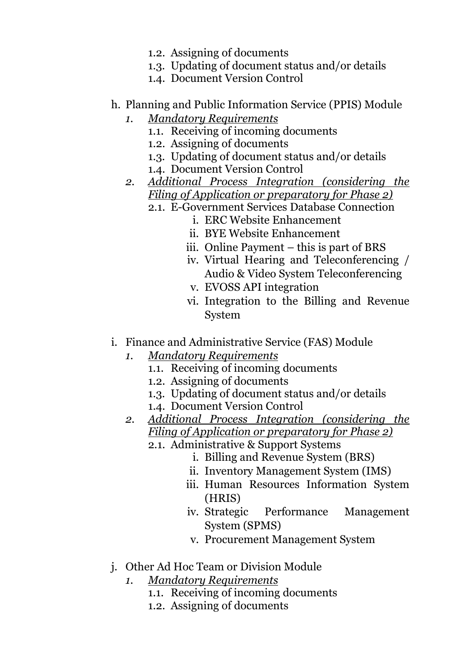- 1.2. Assigning of documents
- 1.3. Updating of document status and/or details
- 1.4. Document Version Control
- h. Planning and Public Information Service (PPIS) Module
	- *1. Mandatory Requirements*
		- 1.1. Receiving of incoming documents
		- 1.2. Assigning of documents
		- 1.3. Updating of document status and/or details
		- 1.4. Document Version Control
	- *2. Additional Process Integration (considering the Filing of Application or preparatory for Phase 2)*
		- 2.1. E-Government Services Database Connection
			- i. ERC Website Enhancement
			- ii. BYE Website Enhancement
			- iii. Online Payment this is part of BRS
			- iv. Virtual Hearing and Teleconferencing / Audio & Video System Teleconferencing
			- v. EVOSS API integration
			- vi. Integration to the Billing and Revenue System
- i. Finance and Administrative Service (FAS) Module
	- *1. Mandatory Requirements*
		- 1.1. Receiving of incoming documents
		- 1.2. Assigning of documents
		- 1.3. Updating of document status and/or details
		- 1.4. Document Version Control
	- *2. Additional Process Integration (considering the Filing of Application or preparatory for Phase 2)*
		- 2.1. Administrative & Support Systems
			- i. Billing and Revenue System (BRS)
			- ii. Inventory Management System (IMS)
			- iii. Human Resources Information System (HRIS)
			- iv. Strategic Performance Management System (SPMS)
			- v. Procurement Management System
- j. Other Ad Hoc Team or Division Module
	- *1. Mandatory Requirements*
		- 1.1. Receiving of incoming documents
		- 1.2. Assigning of documents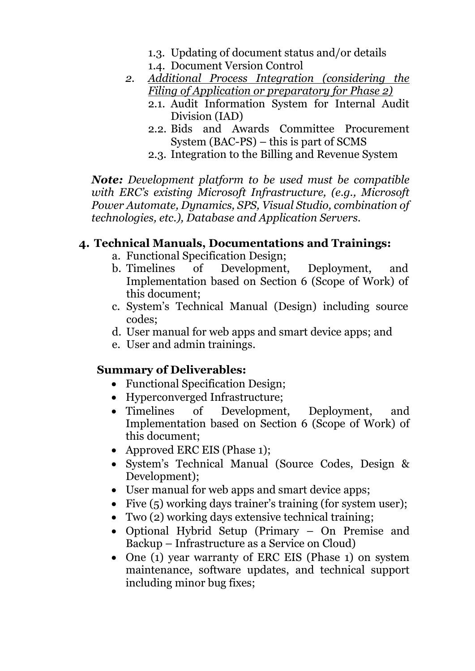- 1.3. Updating of document status and/or details
- 1.4. Document Version Control
- *2. Additional Process Integration (considering the Filing of Application or preparatory for Phase 2)*
	- 2.1. Audit Information System for Internal Audit Division (IAD)
	- 2.2. Bids and Awards Committee Procurement System (BAC-PS) – this is part of SCMS
	- 2.3. Integration to the Billing and Revenue System

*Note: Development platform to be used must be compatible with ERC's existing Microsoft Infrastructure, (e.g., Microsoft Power Automate, Dynamics, SPS, Visual Studio, combination of technologies, etc.), Database and Application Servers.*

# **4. Technical Manuals, Documentations and Trainings:**

- a. Functional Specification Design;
- b. Timelines of Development, Deployment, and Implementation based on Section 6 (Scope of Work) of this document;
- c. System's Technical Manual (Design) including source codes;
- d. User manual for web apps and smart device apps; and
- e. User and admin trainings.

# **Summary of Deliverables:**

- Functional Specification Design;
- Hyperconverged Infrastructure;
- Timelines of Development, Deployment, and Implementation based on Section 6 (Scope of Work) of this document;
- Approved ERC EIS (Phase 1):
- System's Technical Manual (Source Codes, Design & Development);
- User manual for web apps and smart device apps;
- Five (5) working days trainer's training (for system user);
- Two (2) working days extensive technical training;
- Optional Hybrid Setup (Primary On Premise and Backup – Infrastructure as a Service on Cloud)
- One (1) year warranty of ERC EIS (Phase 1) on system maintenance, software updates, and technical support including minor bug fixes;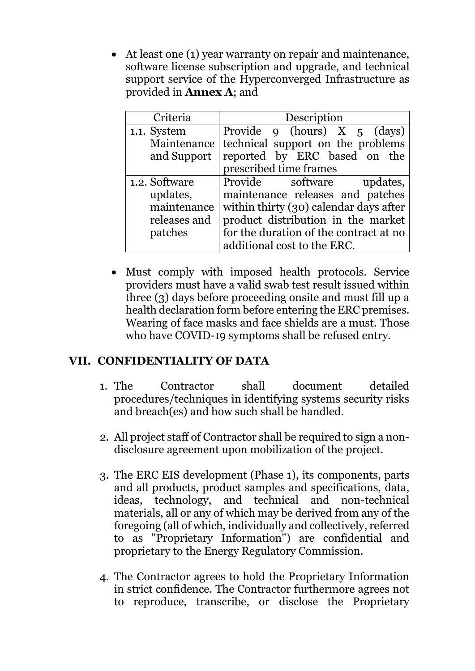• At least one (1) year warranty on repair and maintenance, software license subscription and upgrade, and technical support service of the Hyperconverged Infrastructure as provided in **Annex A**; and

| Criteria      | Description                            |
|---------------|----------------------------------------|
| 1.1. System   | Provide 9 (hours) $X \t 5$ (days)      |
| Maintenance   | technical support on the problems      |
| and Support   | reported by ERC based on the           |
|               | prescribed time frames                 |
| 1.2. Software | Provide software updates,              |
| updates,      | maintenance releases and patches       |
| maintenance   | within thirty (30) calendar days after |
| releases and  | product distribution in the market     |
| patches       | for the duration of the contract at no |
|               | additional cost to the ERC.            |

• Must comply with imposed health protocols. Service providers must have a valid swab test result issued within three (3) days before proceeding onsite and must fill up a health declaration form before entering the ERC premises. Wearing of face masks and face shields are a must. Those who have COVID-19 symptoms shall be refused entry.

# **VII. CONFIDENTIALITY OF DATA**

- 1. The Contractor shall document detailed procedures/techniques in identifying systems security risks and breach(es) and how such shall be handled.
- 2. All project staff of Contractor shall be required to sign a nondisclosure agreement upon mobilization of the project.
- 3. The ERC EIS development (Phase 1), its components, parts and all products, product samples and specifications, data, ideas, technology, and technical and non-technical materials, all or any of which may be derived from any of the foregoing (all of which, individually and collectively, referred to as "Proprietary Information") are confidential and proprietary to the Energy Regulatory Commission.
- 4. The Contractor agrees to hold the Proprietary Information in strict confidence. The Contractor furthermore agrees not to reproduce, transcribe, or disclose the Proprietary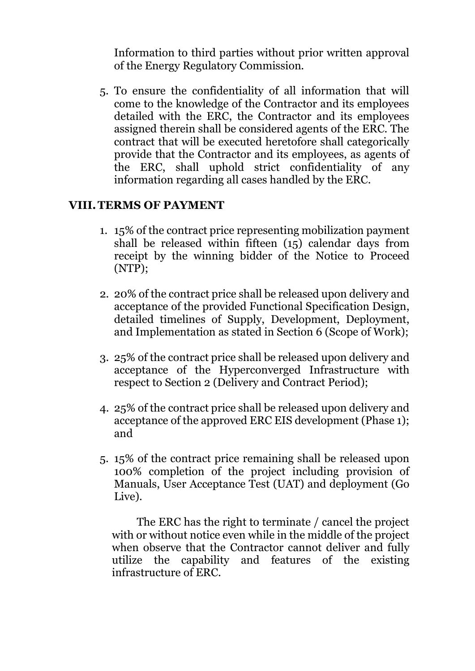Information to third parties without prior written approval of the Energy Regulatory Commission.

5. To ensure the confidentiality of all information that will come to the knowledge of the Contractor and its employees detailed with the ERC, the Contractor and its employees assigned therein shall be considered agents of the ERC. The contract that will be executed heretofore shall categorically provide that the Contractor and its employees, as agents of the ERC, shall uphold strict confidentiality of any information regarding all cases handled by the ERC.

#### **VIII.TERMS OF PAYMENT**

- 1. 15% of the contract price representing mobilization payment shall be released within fifteen (15) calendar days from receipt by the winning bidder of the Notice to Proceed (NTP);
- 2. 20% of the contract price shall be released upon delivery and acceptance of the provided Functional Specification Design, detailed timelines of Supply, Development, Deployment, and Implementation as stated in Section 6 (Scope of Work);
- 3. 25% of the contract price shall be released upon delivery and acceptance of the Hyperconverged Infrastructure with respect to Section 2 (Delivery and Contract Period);
- 4. 25% of the contract price shall be released upon delivery and acceptance of the approved ERC EIS development (Phase 1); and
- 5. 15% of the contract price remaining shall be released upon 100% completion of the project including provision of Manuals, User Acceptance Test (UAT) and deployment (Go Live).

The ERC has the right to terminate / cancel the project with or without notice even while in the middle of the project when observe that the Contractor cannot deliver and fully utilize the capability and features of the existing infrastructure of ERC.